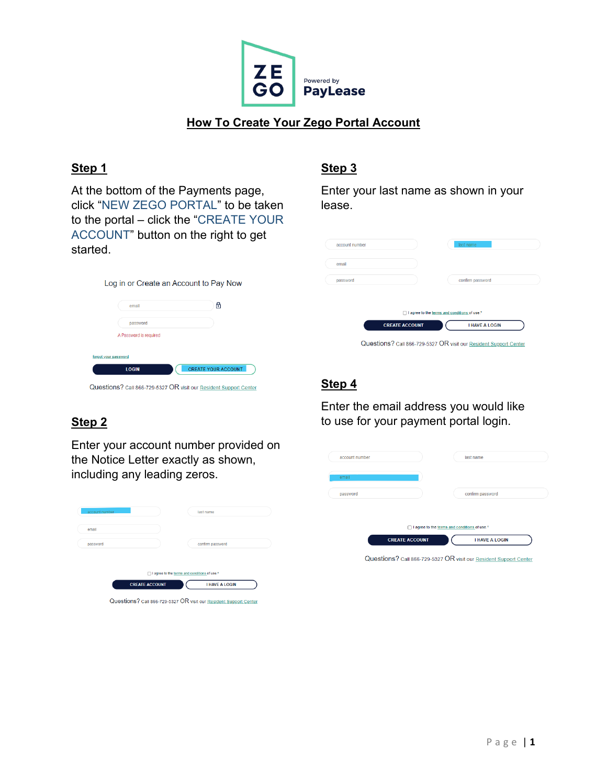

## **How To Create Your Zego Portal Account**

#### **Step 1**

At the bottom of the Payments page, click "NEW ZEGO PORTAL" to be taken to the portal – click the "CREATE YOUR ACCOUNT" button on the right to get started.

## **Step 3**

Enter your last name as shown in your lease.

|                       | confirm password      |                                              |
|-----------------------|-----------------------|----------------------------------------------|
|                       |                       |                                              |
|                       |                       |                                              |
| <b>CREATE ACCOUNT</b> | <b>I HAVE A LOGIN</b> |                                              |
|                       |                       | I agree to the terms and conditions of use.* |

#### **Step 4**

Enter the email address you would like to use for your payment portal login.

| account number |                       | last name                                      |  |
|----------------|-----------------------|------------------------------------------------|--|
| email          |                       |                                                |  |
| password       |                       | confirm password                               |  |
|                |                       |                                                |  |
|                |                       | □ I agree to the terms and conditions of use.* |  |
|                | <b>CREATE ACCOUNT</b> | <b>I HAVE A LOGIN</b>                          |  |

Questions? call 866-729-5327 OR visit our Resident Support Center

|                      | Log in or Create an Account to Pay Now |                            |
|----------------------|----------------------------------------|----------------------------|
|                      | email                                  | ⊕                          |
|                      | password                               |                            |
|                      | A Password is required                 |                            |
| forgot your password |                                        |                            |
|                      | <b>LOGIN</b>                           | <b>CREATE YOUR ACCOUNT</b> |

Questions? Call 866-729-5327 OR visit our Resident Support Center

# **Step 2**

Enter your account number provided on the Notice Letter exactly as shown, including any leading zeros.

| account number | last name                                    |
|----------------|----------------------------------------------|
| email          |                                              |
| password       | confirm password                             |
|                |                                              |
|                | I agree to the terms and conditions of use.* |
|                |                                              |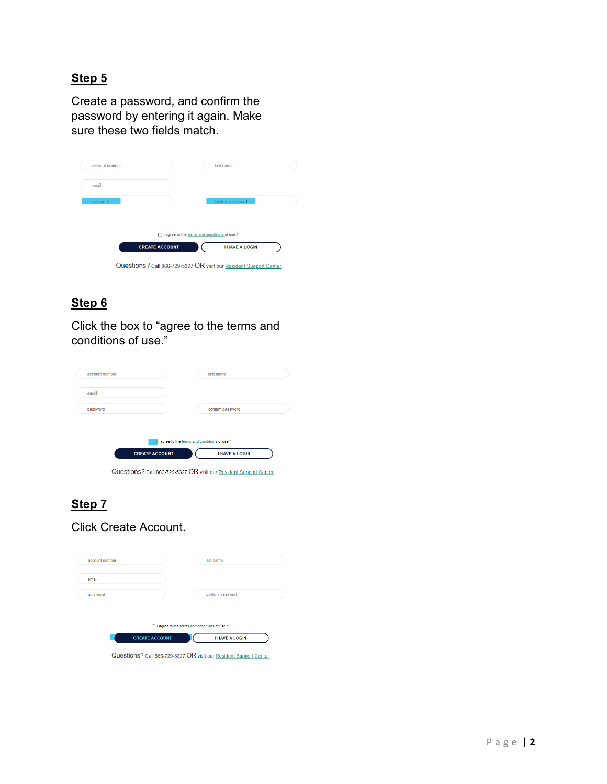# **Step 5**

Create a password, and confirm the password by entering it again. Make sure these two fields match.

| account number |                       | last name                                                         |
|----------------|-----------------------|-------------------------------------------------------------------|
| email          |                       |                                                                   |
| password       |                       | confirm password                                                  |
|                |                       |                                                                   |
|                | п                     | I agree to the terms and conditions of use.*                      |
|                | <b>CREATE ACCOUNT</b> | <b>I HAVE A LOGIN</b>                                             |
|                |                       | Questions? Call 866-729-5327 OR visit our Resident Support Center |

# **Step 6**

Click the box to "agree to the terms and conditions of use."

|                       | last name                                    |
|-----------------------|----------------------------------------------|
|                       |                                              |
|                       | confirm password                             |
|                       |                                              |
|                       | I agree to the terms and conditions of use.* |
| <b>CREATE ACCOUNT</b> | <b>I HAVE A LOGIN</b>                        |
|                       |                                              |

# **Step 7**

Click Create Account.

| email    |                                                   |                       |
|----------|---------------------------------------------------|-----------------------|
| password |                                                   | confirm password      |
|          |                                                   |                       |
|          | I agree to the terms and conditions of use.*<br>n |                       |
|          | <b>CREATE ACCOUNT</b>                             | <b>I HAVE A LOGIN</b> |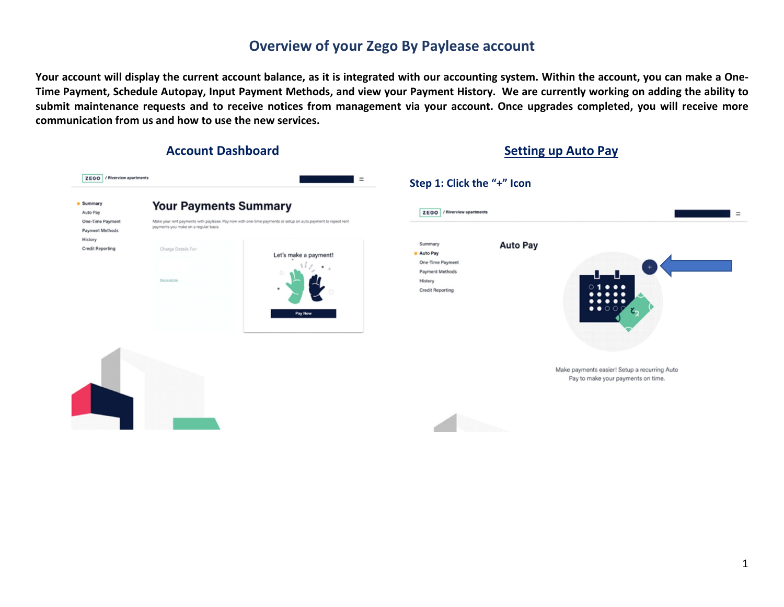# **Overview of your Zego By Paylease account**

**Your account will display the current account balance, as it is integrated with our accounting system. Within the account, you can make a One-Time Payment, Schedule Autopay, Input Payment Methods, and view your Payment History. We are currently working on adding the ability to submit maintenance requests and to receive notices from management via your account. Once upgrades completed, you will receive more communication from us and how to use the new services.** 

#### **Account Dashboard Setting up Auto Pay**

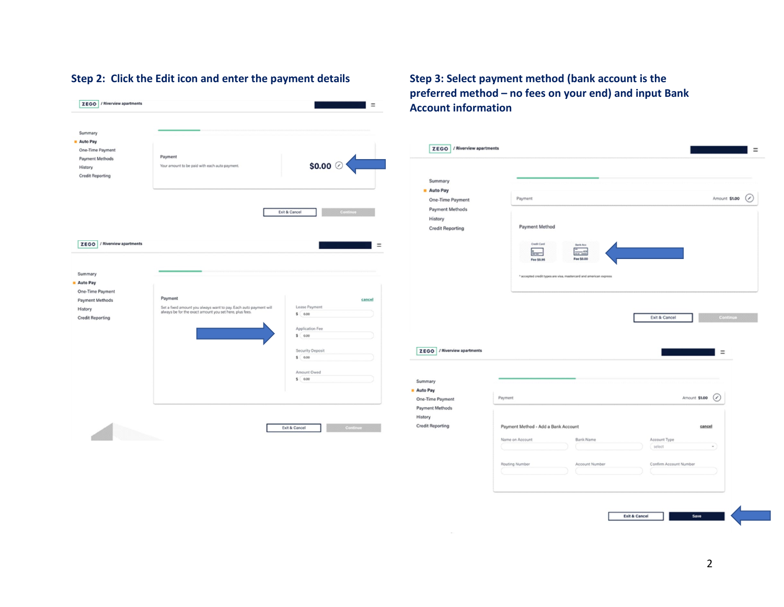#### ZEGO / Riverview apartments  $=$ Summary Auto Pay One-Time Payment Payment Payment Methods \$0.00 $\circ$ Your amount to be paid with each auto payment. History **Credit Reporting** Exit & Cancel ZEGO / Riverview apartments  $\equiv$ Summary Auto Pay One-Time Payment Payment Payment Methods cancel Set a fixed amount you always want to pay. Each auto payment will<br>always be for the exact amount you set here, plus fees. Lease Payment History  $s$  0.00 **Credit Reporting** Application Fee  $s$  0.00 Security Deposit  $$ 0.00$ Amount Owed  $$ 0.00$ Exit & Cancel

#### **Step 2: Click the Edit icon and enter the payment details Step 3: Select payment method (bank account is the preferred method – no fees on your end) and input Bank Account information**

| Summary                                                                                                                                |                                                                   |                        |
|----------------------------------------------------------------------------------------------------------------------------------------|-------------------------------------------------------------------|------------------------|
| Auto Pay                                                                                                                               | Payment                                                           | Amount \$1.00<br>⊘     |
| One-Time Payment<br>Payment Methods                                                                                                    |                                                                   |                        |
| History                                                                                                                                |                                                                   |                        |
| <b>Credit Reporting</b>                                                                                                                | Payment Method                                                    |                        |
|                                                                                                                                        | <b>Credit Card</b><br>Bank Acc<br>$=$<br>Fee \$0.00<br>Fee \$0.95 |                        |
|                                                                                                                                        | * accepted credit types are visa, mastercard and american express |                        |
|                                                                                                                                        |                                                                   |                        |
|                                                                                                                                        |                                                                   |                        |
|                                                                                                                                        |                                                                   |                        |
|                                                                                                                                        | Exit & Cancel                                                     |                        |
|                                                                                                                                        |                                                                   | Continu                |
|                                                                                                                                        |                                                                   |                        |
|                                                                                                                                        |                                                                   |                        |
|                                                                                                                                        |                                                                   | $\equiv$               |
|                                                                                                                                        |                                                                   |                        |
|                                                                                                                                        |                                                                   |                        |
|                                                                                                                                        |                                                                   |                        |
|                                                                                                                                        | Payment                                                           | Amount \$1.00<br>◢     |
|                                                                                                                                        |                                                                   |                        |
|                                                                                                                                        |                                                                   |                        |
| ZEGO / Riverview apartments<br>Summary<br><b>Auto Pay</b><br>One-Time Payment<br>Payment Methods<br>History<br><b>Credit Reporting</b> | Payment Method - Add a Bank Account                               | cancel                 |
|                                                                                                                                        | Name on Account<br>Bank Name<br>Account Type                      |                        |
|                                                                                                                                        | select                                                            | $\star$                |
|                                                                                                                                        |                                                                   |                        |
|                                                                                                                                        | Routing Number<br>Account Number                                  | Confirm Account Number |

×